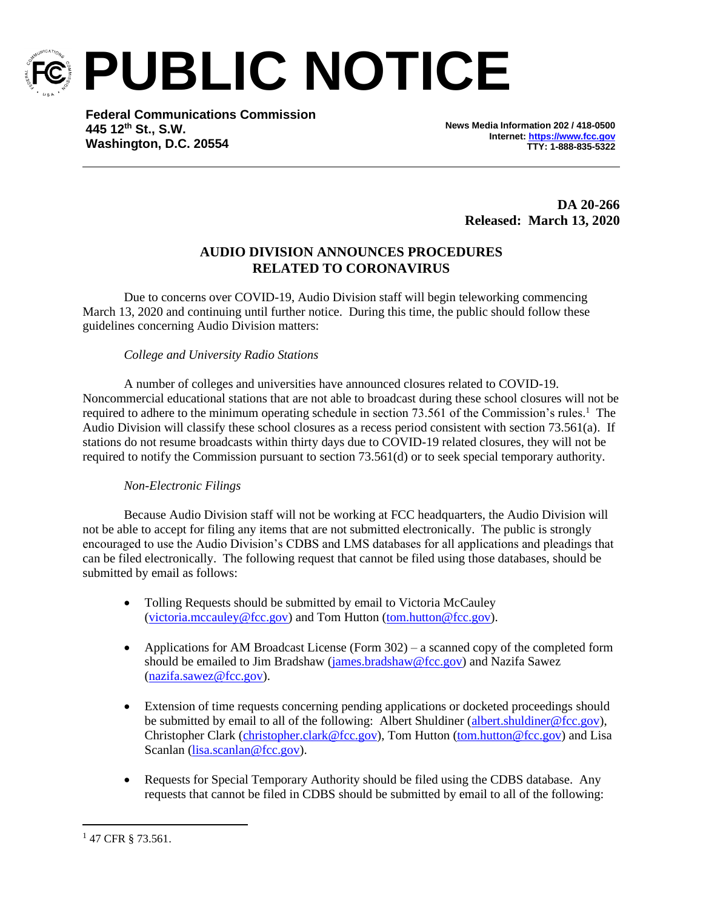

**PUBLIC NOTICE**

**Federal Communications Commission 445 12th St., S.W. Washington, D.C. 20554**

**News Media Information 202 / 418-0500 Internet[: https://www.fcc.gov](https://www.fcc.gov/) TTY: 1-888-835-5322**

> **DA 20-266 Released: March 13, 2020**

## **AUDIO DIVISION ANNOUNCES PROCEDURES RELATED TO CORONAVIRUS**

Due to concerns over COVID-19, Audio Division staff will begin teleworking commencing March 13, 2020 and continuing until further notice. During this time, the public should follow these guidelines concerning Audio Division matters:

## *College and University Radio Stations*

A number of colleges and universities have announced closures related to COVID-19. Noncommercial educational stations that are not able to broadcast during these school closures will not be required to adhere to the minimum operating schedule in section 73.561 of the Commission's rules.<sup>1</sup> The Audio Division will classify these school closures as a recess period consistent with section 73.561(a). If stations do not resume broadcasts within thirty days due to COVID-19 related closures, they will not be required to notify the Commission pursuant to section 73.561(d) or to seek special temporary authority.

## *Non-Electronic Filings*

Because Audio Division staff will not be working at FCC headquarters, the Audio Division will not be able to accept for filing any items that are not submitted electronically. The public is strongly encouraged to use the Audio Division's CDBS and LMS databases for all applications and pleadings that can be filed electronically. The following request that cannot be filed using those databases, should be submitted by email as follows:

- Tolling Requests should be submitted by email to Victoria McCauley [\(victoria.mccauley@fcc.gov\)](mailto:victoria.mccauley@fcc.gov) and Tom Hutton [\(tom.hutton@fcc.gov\)](mailto:tom.hutton@fcc.gov).
- Applications for AM Broadcast License (Form  $302$ ) a scanned copy of the completed form should be emailed to Jim Bradshaw [\(james.bradshaw@fcc.gov\)](mailto:james.bradshaw@fcc.gov) and Nazifa Sawez [\(nazifa.sawez@fcc.gov\)](mailto:nazifa.sawez@fcc.gov).
- Extension of time requests concerning pending applications or docketed proceedings should be submitted by email to all of the following: Albert Shuldiner [\(albert.shuldiner@fcc.gov\)](mailto:albert.shuldiner@fcc.gov), Christopher Clark [\(christopher.clark@fcc.gov\)](mailto:christopher.clark@fcc.gov), Tom Hutton [\(tom.hutton@fcc.gov\)](mailto:tom.hutton@fcc.gov) and Lisa Scanlan [\(lisa.scanlan@fcc.gov\)](mailto:lisa.scanlan@fcc.gov).
- Requests for Special Temporary Authority should be filed using the CDBS database. Any requests that cannot be filed in CDBS should be submitted by email to all of the following:

<sup>&</sup>lt;sup>1</sup> 47 CFR § 73.561.